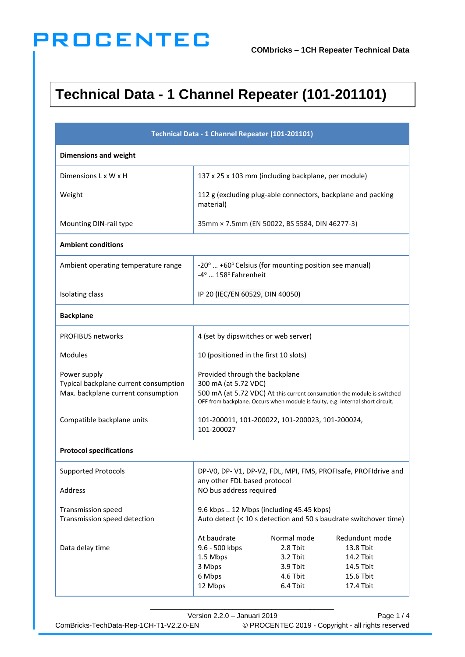### **Technical Data - 1 Channel Repeater (101-201101)**

| Technical Data - 1 Channel Repeater (101-201101)                                            |                                                                                                                                                                                                                     |                                                                         |                                                                                 |  |
|---------------------------------------------------------------------------------------------|---------------------------------------------------------------------------------------------------------------------------------------------------------------------------------------------------------------------|-------------------------------------------------------------------------|---------------------------------------------------------------------------------|--|
| <b>Dimensions and weight</b>                                                                |                                                                                                                                                                                                                     |                                                                         |                                                                                 |  |
| Dimensions L x W x H                                                                        |                                                                                                                                                                                                                     | 137 x 25 x 103 mm (including backplane, per module)                     |                                                                                 |  |
| Weight                                                                                      | material)                                                                                                                                                                                                           |                                                                         | 112 g (excluding plug-able connectors, backplane and packing                    |  |
| Mounting DIN-rail type                                                                      | 35mm × 7.5mm (EN 50022, BS 5584, DIN 46277-3)                                                                                                                                                                       |                                                                         |                                                                                 |  |
| <b>Ambient conditions</b>                                                                   |                                                                                                                                                                                                                     |                                                                         |                                                                                 |  |
| Ambient operating temperature range                                                         | -4°  158° Fahrenheit                                                                                                                                                                                                | -20°  +60° Celsius (for mounting position see manual)                   |                                                                                 |  |
| Isolating class                                                                             | IP 20 (IEC/EN 60529, DIN 40050)                                                                                                                                                                                     |                                                                         |                                                                                 |  |
| <b>Backplane</b>                                                                            |                                                                                                                                                                                                                     |                                                                         |                                                                                 |  |
| <b>PROFIBUS networks</b>                                                                    | 4 (set by dipswitches or web server)                                                                                                                                                                                |                                                                         |                                                                                 |  |
| <b>Modules</b>                                                                              | 10 (positioned in the first 10 slots)                                                                                                                                                                               |                                                                         |                                                                                 |  |
| Power supply<br>Typical backplane current consumption<br>Max. backplane current consumption | Provided through the backplane<br>300 mA (at 5.72 VDC)<br>500 mA (at 5.72 VDC) At this current consumption the module is switched<br>OFF from backplane. Occurs when module is faulty, e.g. internal short circuit. |                                                                         |                                                                                 |  |
| Compatible backplane units                                                                  | 101-200011, 101-200022, 101-200023, 101-200024,<br>101-200027                                                                                                                                                       |                                                                         |                                                                                 |  |
| <b>Protocol specifications</b>                                                              |                                                                                                                                                                                                                     |                                                                         |                                                                                 |  |
| <b>Supported Protocols</b><br>Address                                                       | DP-V0, DP-V1, DP-V2, FDL, MPI, FMS, PROFIsafe, PROFIdrive and<br>any other FDL based protocol<br>NO bus address required                                                                                            |                                                                         |                                                                                 |  |
| Transmission speed<br>Transmission speed detection                                          | 9.6 kbps  12 Mbps (including 45.45 kbps)<br>Auto detect (< 10 s detection and 50 s baudrate switchover time)                                                                                                        |                                                                         |                                                                                 |  |
| Data delay time                                                                             | At baudrate<br>9.6 - 500 kbps<br>1.5 Mbps<br>3 Mbps<br>6 Mbps<br>12 Mbps                                                                                                                                            | Normal mode<br>2.8 Tbit<br>3.2 Tbit<br>3.9 Tbit<br>4.6 Tbit<br>6.4 Tbit | Redundunt mode<br>13.8 Tbit<br>14.2 Tbit<br>14.5 Tbit<br>15.6 Tbit<br>17.4 Tbit |  |

Version 2.2.0 – Januari 2019 Page 1 / 4 ComBricks-TechData-Rep-1CH-T1-V2.2.0-EN © PROCENTEC 2019 - Copyright - all rights reserved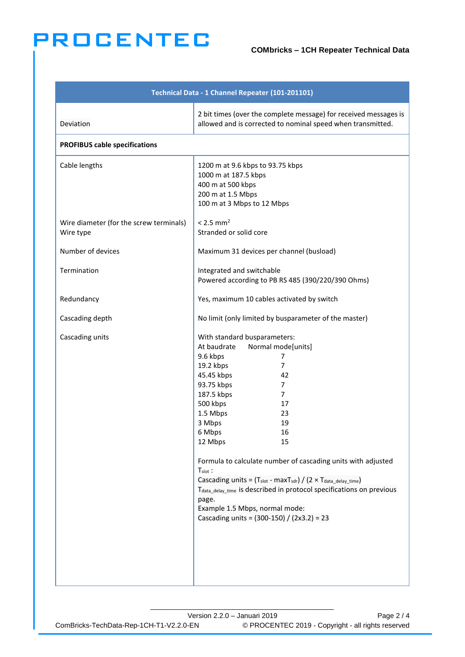#### **COMbricks – 1CH Repeater Technical Data**

| Technical Data - 1 Channel Repeater (101-201101)     |                                                                                                                                                                                                                                                                                                                                                                                                                                                                                                                                                                                                                              |  |  |  |
|------------------------------------------------------|------------------------------------------------------------------------------------------------------------------------------------------------------------------------------------------------------------------------------------------------------------------------------------------------------------------------------------------------------------------------------------------------------------------------------------------------------------------------------------------------------------------------------------------------------------------------------------------------------------------------------|--|--|--|
| Deviation                                            | 2 bit times (over the complete message) for received messages is<br>allowed and is corrected to nominal speed when transmitted.                                                                                                                                                                                                                                                                                                                                                                                                                                                                                              |  |  |  |
| <b>PROFIBUS cable specifications</b>                 |                                                                                                                                                                                                                                                                                                                                                                                                                                                                                                                                                                                                                              |  |  |  |
| Cable lengths                                        | 1200 m at 9.6 kbps to 93.75 kbps<br>1000 m at 187.5 kbps<br>400 m at 500 kbps<br>200 m at 1.5 Mbps<br>100 m at 3 Mbps to 12 Mbps                                                                                                                                                                                                                                                                                                                                                                                                                                                                                             |  |  |  |
| Wire diameter (for the screw terminals)<br>Wire type | $< 2.5$ mm <sup>2</sup><br>Stranded or solid core                                                                                                                                                                                                                                                                                                                                                                                                                                                                                                                                                                            |  |  |  |
| Number of devices                                    | Maximum 31 devices per channel (busload)                                                                                                                                                                                                                                                                                                                                                                                                                                                                                                                                                                                     |  |  |  |
| Termination                                          | Integrated and switchable<br>Powered according to PB RS 485 (390/220/390 Ohms)                                                                                                                                                                                                                                                                                                                                                                                                                                                                                                                                               |  |  |  |
| Redundancy                                           | Yes, maximum 10 cables activated by switch                                                                                                                                                                                                                                                                                                                                                                                                                                                                                                                                                                                   |  |  |  |
| Cascading depth                                      | No limit (only limited by busparameter of the master)                                                                                                                                                                                                                                                                                                                                                                                                                                                                                                                                                                        |  |  |  |
| Cascading units                                      | With standard busparameters:<br>Normal mode[units]<br>At baudrate<br>9.6 kbps<br>7<br>19.2 kbps<br>$\overline{7}$<br>45.45 kbps<br>42<br>93.75 kbps<br>7<br>187.5 kbps<br>$\overline{7}$<br>500 kbps<br>17<br>1.5 Mbps<br>23<br>3 Mbps<br>19<br>6 Mbps<br>16<br>12 Mbps<br>15<br>Formula to calculate number of cascading units with adjusted<br>$T_{slot}$ :<br>Cascading units = $(T_{slot} - maxT_{sdr}) / (2 \times T_{data\_delay\_time})$<br>T <sub>data delay time</sub> is described in protocol specifications on previous<br>page.<br>Example 1.5 Mbps, normal mode:<br>Cascading units = (300-150) / (2x3.2) = 23 |  |  |  |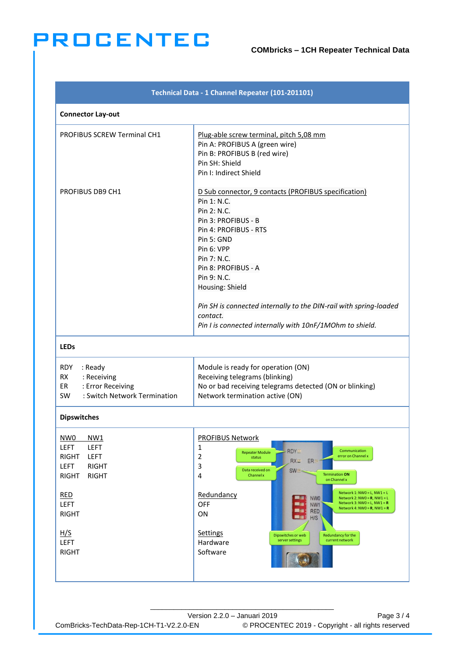| Technical Data - 1 Channel Repeater (101-201101)                                                                                                                                                                               |                                                                                                                                                                                                                                                                                                                                                                                                                                                                                                                                                                                                                                    |  |  |
|--------------------------------------------------------------------------------------------------------------------------------------------------------------------------------------------------------------------------------|------------------------------------------------------------------------------------------------------------------------------------------------------------------------------------------------------------------------------------------------------------------------------------------------------------------------------------------------------------------------------------------------------------------------------------------------------------------------------------------------------------------------------------------------------------------------------------------------------------------------------------|--|--|
| <b>Connector Lay-out</b>                                                                                                                                                                                                       |                                                                                                                                                                                                                                                                                                                                                                                                                                                                                                                                                                                                                                    |  |  |
| <b>PROFIBUS SCREW Terminal CH1</b>                                                                                                                                                                                             | Plug-able screw terminal, pitch 5,08 mm<br>Pin A: PROFIBUS A (green wire)<br>Pin B: PROFIBUS B (red wire)<br>Pin SH: Shield<br>Pin I: Indirect Shield                                                                                                                                                                                                                                                                                                                                                                                                                                                                              |  |  |
| PROFIBUS DB9 CH1                                                                                                                                                                                                               | D Sub connector, 9 contacts (PROFIBUS specification)<br>Pin 1: N.C.<br>Pin 2: N.C.<br>Pin 3: PROFIBUS - B<br>Pin 4: PROFIBUS - RTS<br>Pin 5: GND<br>Pin 6: VPP<br>Pin 7: N.C.<br>Pin 8: PROFIBUS - A<br>Pin 9: N.C.<br>Housing: Shield<br>Pin SH is connected internally to the DIN-rail with spring-loaded<br>contact.<br>Pin I is connected internally with 10nF/1MOhm to shield.                                                                                                                                                                                                                                                |  |  |
| <b>LEDs</b>                                                                                                                                                                                                                    |                                                                                                                                                                                                                                                                                                                                                                                                                                                                                                                                                                                                                                    |  |  |
| RDY<br>: Ready<br><b>RX</b><br>: Receiving<br>: Error Receiving<br>ER<br>: Switch Network Termination<br>SW.                                                                                                                   | Module is ready for operation (ON)<br>Receiving telegrams (blinking)<br>No or bad receiving telegrams detected (ON or blinking)<br>Network termination active (ON)                                                                                                                                                                                                                                                                                                                                                                                                                                                                 |  |  |
| <b>Dipswitches</b>                                                                                                                                                                                                             |                                                                                                                                                                                                                                                                                                                                                                                                                                                                                                                                                                                                                                    |  |  |
| NW <sub>0</sub><br>NW1<br><b>LEFT</b><br><b>LEFT</b><br><b>RIGHT</b><br><b>LEFT</b><br><b>LEFT</b><br><b>RIGHT</b><br><b>RIGHT</b><br><b>RIGHT</b><br><b>RED</b><br>LEFT<br><b>RIGHT</b><br>H/S<br><b>LEFT</b><br><b>RIGHT</b> | <b>PROFIBUS Network</b><br>1<br><b>RDY</b><br>Communication<br><b>Repeater Module</b><br>error on Channel x<br>2<br>status<br>$RX -$<br>ER-<br>3<br>Data received on<br>$SW_$<br><b>Termination ON</b><br>4<br>Channelx<br>on Channel x<br>Network 1: NW0 = L, NW1 = L<br>Redundancy<br>NW <sub>0</sub><br>Network 2: $NWO = R$ , $NW1 = L$<br>Network $3: NWO = L$ , $NW1 = R$<br><b>OFF</b><br>. .<br>NW <sub>1</sub><br>Network 4: NW0 = $R$ , NW1 = $R$<br>ه ۲<br><b>RED</b><br>ON<br>ma f<br>H/S<br><b>Settings</b><br>Redundancy for the<br>Dipswitches or web<br>server settings<br>current network<br>Hardware<br>Software |  |  |